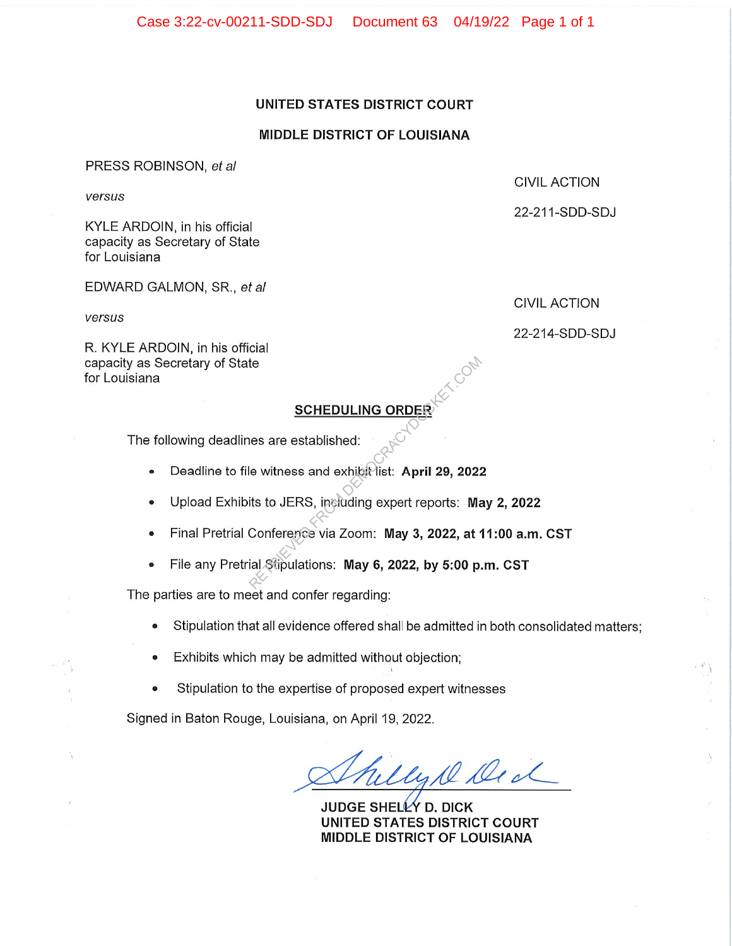Case 3:22-cv-00211-SDD-SDJ Document 63 04/19/22 Page 1 of 1

### UNITED STATES DISTRICT COURT

#### MIDDLE DISTRICT OF LOUISIANA

PRESS ROBINSON, et a/

versus

KYLEARDOIN, in his official capacity as Secretary of State for Louisiana

EDWARD GALMON, SR., et al.

versus

CIVIL ACTION

CIVIL ACTION

22-211-SDD-SDJ

22-214-SDD-SDJ

R. KYLE ARDOIN, in his official capacity as Secretary of State for Louisiana

## **SCHEDULING ORDER**

The following deadlines are established:

- Deadline to file witness and exhibit list: April 29, 2022
- Upload Exhibits to JERS, including expert reports: May 2, 2022 SCHEDULING ORDER<br>
RES are established:<br>
Le witness and exhibit list: April 29, 2022<br>
Le witness and exhibit list: April 29, 2022<br>
Lis to JERS, including expert reports: Ma<br>
Conference via Zoom: May 3, 2022, at and Stipulat
- Final Pretrial Conference via Zoom: May 3, 2022, at 11:00 a.m. CST
- File any Pretrial Stipulations: May 6, 2022, by 5:00 p.m. CST

The parties are to meet and confer regarding:

- Stipulation that all evidence offered shall be admitted in both consolidated matters;
- Exhibits which may be admitted without objection;
- Stipulation to the expertise of proposed expert witnesses

Signed in Baton Rouge, Louisiana, on April 19, 2022.

lyke Deck

JUDGE SHELLY D. DICK UNITED STATES DISTRICT COURT MIDDLE DISTRICT OF LOUISIANA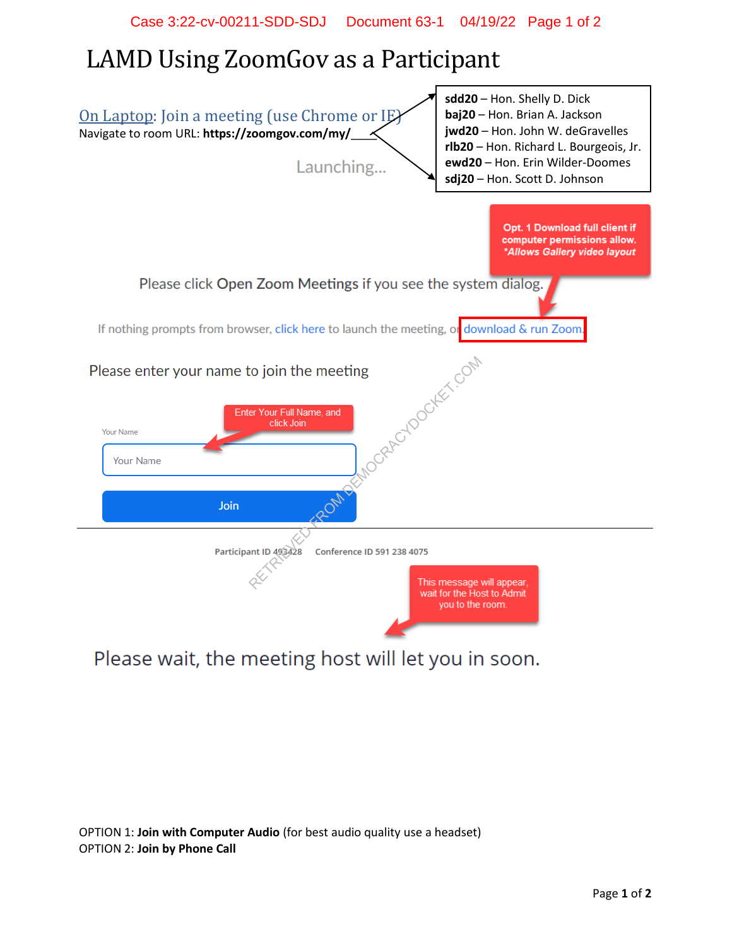# LAMD Using ZoomGov as a Participant



Please wait, the meeting host will let you in soon.

OPTION 1: **Join with Computer Audio** (for best audio quality use a headset) OPTION 2: **Join by Phone Call**